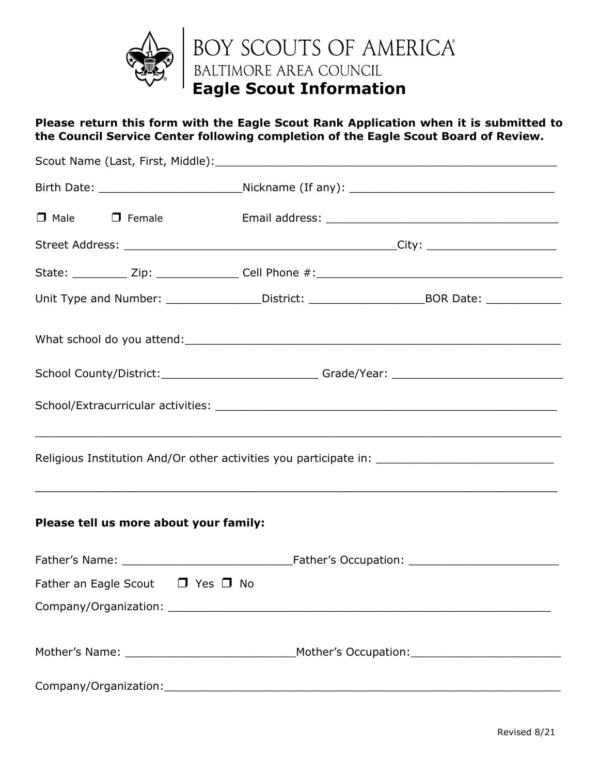

## **Please return this form with the Eagle Scout Rank Application when it is submitted to the Council Service Center following completion of the Eagle Scout Board of Review.**

|                                            | Unit Type and Number: ________________District: ________________________________BOR Date: ________________ |                                                                                  |  |  |
|--------------------------------------------|------------------------------------------------------------------------------------------------------------|----------------------------------------------------------------------------------|--|--|
|                                            |                                                                                                            |                                                                                  |  |  |
|                                            |                                                                                                            | School County/District:__________________________Grade/Year: ___________________ |  |  |
|                                            |                                                                                                            |                                                                                  |  |  |
|                                            | Religious Institution And/Or other activities you participate in: _________________________________        |                                                                                  |  |  |
| Please tell us more about your family:     |                                                                                                            |                                                                                  |  |  |
|                                            |                                                                                                            |                                                                                  |  |  |
| Father an Eagle Scout $\Box$ Yes $\Box$ No |                                                                                                            |                                                                                  |  |  |
|                                            |                                                                                                            |                                                                                  |  |  |
|                                            |                                                                                                            |                                                                                  |  |  |
|                                            |                                                                                                            |                                                                                  |  |  |